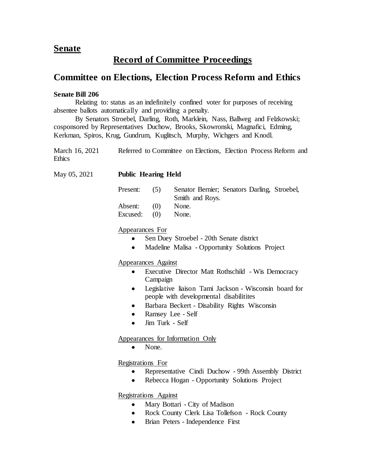## **Senate**

# **Record of Committee Proceedings**

## **Committee on Elections, Election Process Reform and Ethics**

#### **Senate Bill 206**

Relating to: status as an indefinitely confined voter for purposes of receiving absentee ballots automatically and providing a penalty.

By Senators Stroebel, Darling, Roth, Marklein, Nass, Ballweg and Felzkowski; cosponsored by Representatives Duchow, Brooks, Skowronski, Magnafici, Edming, Kerkman, Spiros, Krug, Gundrum, Kuglitsch, Murphy, Wichgers and Knodl.

| March 16, 2021 | Referred to Committee on Elections, Election Process Reform and |  |  |  |
|----------------|-----------------------------------------------------------------|--|--|--|
| <b>Ethics</b>  |                                                                 |  |  |  |

| May 05, 2021 | <b>Public Hearing Held</b>                                               |     |                                                                 |  |  |  |
|--------------|--------------------------------------------------------------------------|-----|-----------------------------------------------------------------|--|--|--|
|              | Present:                                                                 | (5) | Senator Bernier; Senators Darling, Stroebel,<br>Smith and Roys. |  |  |  |
|              | Absent:                                                                  | (0) | None.                                                           |  |  |  |
|              | Excused:                                                                 | (0) | None.                                                           |  |  |  |
|              | Appearances For<br>Sen Duey Stroebel - 20th Senate district<br>$\bullet$ |     |                                                                 |  |  |  |

• Madeline Malisa - Opportunity Solutions Project

Appearances Against

- Executive Director Matt Rothschild Wis Democracy Campaign
- Legislative liaison Tami Jackson Wisconsin board for people with developmental disabilitites
- Barbara Beckert Disability Rights Wisconsin
- Ramsey Lee Self
- Jim Turk Self

### Appearances for Information Only

• None.

Registrations For

- Representative Cindi Duchow 99th Assembly District
- Rebecca Hogan Opportunity Solutions Project

Registrations Against

- Mary Bottari City of Madison
- Rock County Clerk Lisa Tollefson Rock County
- Brian Peters Independence First